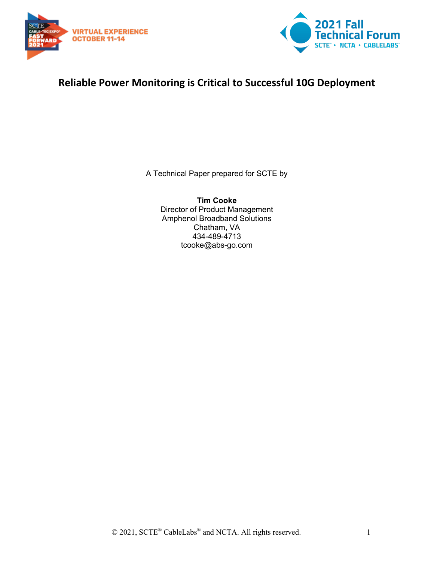



## **Reliable Power Monitoring is Critical to Successful 10G Deployment**

A Technical Paper prepared for SCTE by

**Tim Cooke** Director of Product Management Amphenol Broadband Solutions Chatham, VA 434-489-4713 tcooke@abs-go.com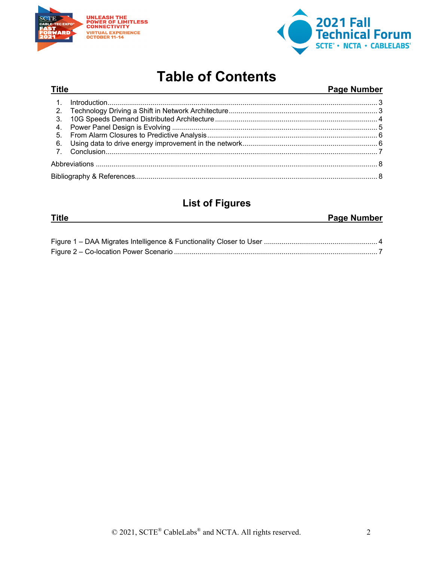

**Title** 



## **Table of Contents**

#### Page Number

## **List of Figures**

| Title | <b>Page Number</b> |
|-------|--------------------|
|       |                    |
|       |                    |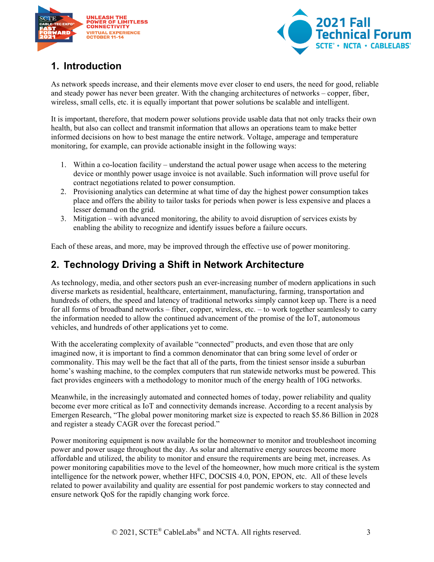



## <span id="page-2-0"></span>**1. Introduction**

As network speeds increase, and their elements move ever closer to end users, the need for good, reliable and steady power has never been greater. With the changing architectures of networks – copper, fiber, wireless, small cells, etc. it is equally important that power solutions be scalable and intelligent.

It is important, therefore, that modern power solutions provide usable data that not only tracks their own health, but also can collect and transmit information that allows an operations team to make better informed decisions on how to best manage the entire network. Voltage, amperage and temperature monitoring, for example, can provide actionable insight in the following ways:

- 1. Within a co-location facility understand the actual power usage when access to the metering device or monthly power usage invoice is not available. Such information will prove useful for contract negotiations related to power consumption.
- 2. Provisioning analytics can determine at what time of day the highest power consumption takes place and offers the ability to tailor tasks for periods when power is less expensive and places a lesser demand on the grid.
- 3. Mitigation with advanced monitoring, the ability to avoid disruption of services exists by enabling the ability to recognize and identify issues before a failure occurs.

<span id="page-2-1"></span>Each of these areas, and more, may be improved through the effective use of power monitoring.

## **2. Technology Driving a Shift in Network Architecture**

As technology, media, and other sectors push an ever-increasing number of modern applications in such diverse markets as residential, healthcare, entertainment, manufacturing, farming, transportation and hundreds of others, the speed and latency of traditional networks simply cannot keep up. There is a need for all forms of broadband networks – fiber, copper, wireless, etc. – to work together seamlessly to carry the information needed to allow the continued advancement of the promise of the IoT, autonomous vehicles, and hundreds of other applications yet to come.

With the accelerating complexity of available "connected" products, and even those that are only imagined now, it is important to find a common denominator that can bring some level of order or commonality. This may well be the fact that all of the parts, from the tiniest sensor inside a suburban home's washing machine, to the complex computers that run statewide networks must be powered. This fact provides engineers with a methodology to monitor much of the energy health of 10G networks.

Meanwhile, in the increasingly automated and connected homes of today, power reliability and quality become ever more critical as IoT and connectivity demands increase. According to a recent analysis by Emergen Research, "The global power monitoring market size is expected to reach \$5.86 Billion in 2028 and register a steady CAGR over the forecast period."

Power monitoring equipment is now available for the homeowner to monitor and troubleshoot incoming power and power usage throughout the day. As solar and alternative energy sources become more affordable and utilized, the ability to monitor and ensure the requirements are being met, increases. As power monitoring capabilities move to the level of the homeowner, how much more critical is the system intelligence for the network power, whether HFC, DOCSIS 4.0, PON, EPON, etc. All of these levels related to power availability and quality are essential for post pandemic workers to stay connected and ensure network QoS for the rapidly changing work force.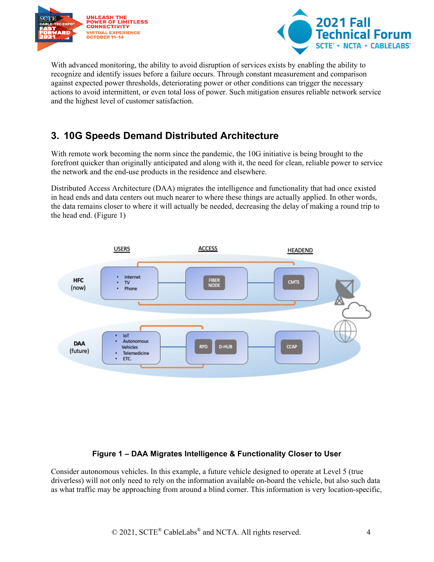



With advanced monitoring, the ability to avoid disruption of services exists by enabling the ability to recognize and identify issues before a failure occurs. Through constant measurement and comparison against expected power thresholds, deteriorating power or other conditions can trigger the necessary actions to avoid intermittent, or even total loss of power. Such mitigation ensures reliable network service and the highest level of customer satisfaction.

## <span id="page-3-0"></span>**3. 10G Speeds Demand Distributed Architecture**

With remote work becoming the norm since the pandemic, the 10G initiative is being brought to the forefront quicker than originally anticipated and along with it, the need for clean, reliable power to service the network and the end-use products in the residence and elsewhere.

Distributed Access Architecture (DAA) migrates the intelligence and functionality that had once existed in head ends and data centers out much nearer to where these things are actually applied. In other words, the data remains closer to where it will actually be needed, decreasing the delay of making a round trip to the head end. (Figure 1)



#### **Figure 1 – DAA Migrates Intelligence & Functionality Closer to User**

<span id="page-3-1"></span>Consider autonomous vehicles. In this example, a future vehicle designed to operate at Level 5 (true driverless) will not only need to rely on the information available on-board the vehicle, but also such data as what traffic may be approaching from around a blind corner. This information is very location-specific,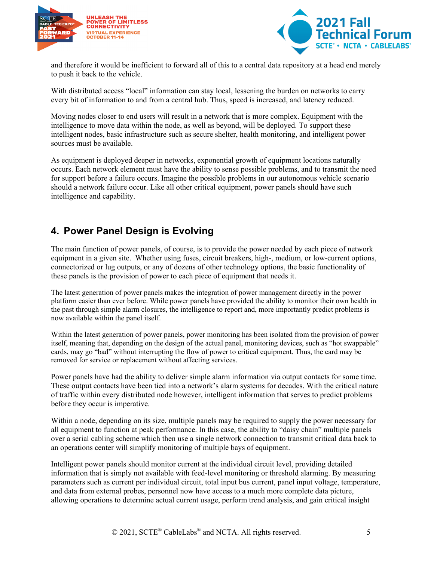



and therefore it would be inefficient to forward all of this to a central data repository at a head end merely to push it back to the vehicle.

With distributed access "local" information can stay local, lessening the burden on networks to carry every bit of information to and from a central hub. Thus, speed is increased, and latency reduced.

Moving nodes closer to end users will result in a network that is more complex. Equipment with the intelligence to move data within the node, as well as beyond, will be deployed. To support these intelligent nodes, basic infrastructure such as secure shelter, health monitoring, and intelligent power sources must be available.

As equipment is deployed deeper in networks, exponential growth of equipment locations naturally occurs. Each network element must have the ability to sense possible problems, and to transmit the need for support before a failure occurs. Imagine the possible problems in our autonomous vehicle scenario should a network failure occur. Like all other critical equipment, power panels should have such intelligence and capability.

## <span id="page-4-0"></span>**4. Power Panel Design is Evolving**

The main function of power panels, of course, is to provide the power needed by each piece of network equipment in a given site. Whether using fuses, circuit breakers, high-, medium, or low-current options, connectorized or lug outputs, or any of dozens of other technology options, the basic functionality of these panels is the provision of power to each piece of equipment that needs it.

The latest generation of power panels makes the integration of power management directly in the power platform easier than ever before. While power panels have provided the ability to monitor their own health in the past through simple alarm closures, the intelligence to report and, more importantly predict problems is now available within the panel itself.

Within the latest generation of power panels, power monitoring has been isolated from the provision of power itself, meaning that, depending on the design of the actual panel, monitoring devices, such as "hot swappable" cards, may go "bad" without interrupting the flow of power to critical equipment. Thus, the card may be removed for service or replacement without affecting services.

Power panels have had the ability to deliver simple alarm information via output contacts for some time. These output contacts have been tied into a network's alarm systems for decades. With the critical nature of traffic within every distributed node however, intelligent information that serves to predict problems before they occur is imperative.

Within a node, depending on its size, multiple panels may be required to supply the power necessary for all equipment to function at peak performance. In this case, the ability to "daisy chain" multiple panels over a serial cabling scheme which then use a single network connection to transmit critical data back to an operations center will simplify monitoring of multiple bays of equipment.

Intelligent power panels should monitor current at the individual circuit level, providing detailed information that is simply not available with feed-level monitoring or threshold alarming. By measuring parameters such as current per individual circuit, total input bus current, panel input voltage, temperature, and data from external probes, personnel now have access to a much more complete data picture, allowing operations to determine actual current usage, perform trend analysis, and gain critical insight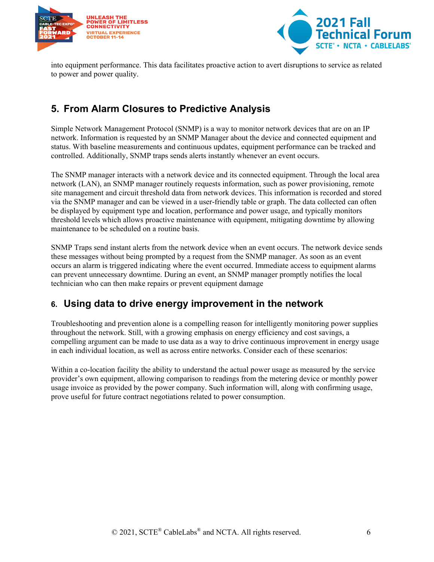



into equipment performance. This data facilitates proactive action to avert disruptions to service as related to power and power quality.

## <span id="page-5-0"></span>**5. From Alarm Closures to Predictive Analysis**

Simple Network Management Protocol (SNMP) is a way to monitor network devices that are on an IP network. Information is requested by an SNMP Manager about the device and connected equipment and status. With baseline measurements and continuous updates, equipment performance can be tracked and controlled. Additionally, SNMP traps sends alerts instantly whenever an event occurs.

The SNMP manager interacts with a network device and its connected equipment. Through the local area network (LAN), an SNMP manager routinely requests information, such as power provisioning, remote site management and circuit threshold data from network devices. This information is recorded and stored via the SNMP manager and can be viewed in a user-friendly table or graph. The data collected can often be displayed by equipment type and location, performance and power usage, and typically monitors threshold levels which allows proactive maintenance with equipment, mitigating downtime by allowing maintenance to be scheduled on a routine basis.

SNMP Traps send instant alerts from the network device when an event occurs. The network device sends these messages without being prompted by a request from the SNMP manager. As soon as an event occurs an alarm is triggered indicating where the event occurred. Immediate access to equipment alarms can prevent unnecessary downtime. During an event, an SNMP manager promptly notifies the local technician who can then make repairs or prevent equipment damage

### <span id="page-5-1"></span>**6. Using data to drive energy improvement in the network**

Troubleshooting and prevention alone is a compelling reason for intelligently monitoring power supplies throughout the network. Still, with a growing emphasis on energy efficiency and cost savings, a compelling argument can be made to use data as a way to drive continuous improvement in energy usage in each individual location, as well as across entire networks. Consider each of these scenarios:

Within a co-location facility the ability to understand the actual power usage as measured by the service provider's own equipment, allowing comparison to readings from the metering device or monthly power usage invoice as provided by the power company. Such information will, along with confirming usage, prove useful for future contract negotiations related to power consumption.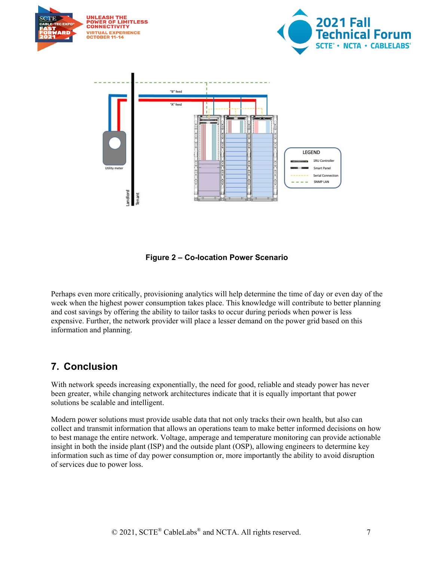

**Figure 2 – Co-location Power Scenario**

<span id="page-6-1"></span>Perhaps even more critically, provisioning analytics will help determine the time of day or even day of the week when the highest power consumption takes place. This knowledge will contribute to better planning and cost savings by offering the ability to tailor tasks to occur during periods when power is less expensive. Further, the network provider will place a lesser demand on the power grid based on this information and planning.

### <span id="page-6-0"></span>**7. Conclusion**

With network speeds increasing exponentially, the need for good, reliable and steady power has never been greater, while changing network architectures indicate that it is equally important that power solutions be scalable and intelligent.

Modern power solutions must provide usable data that not only tracks their own health, but also can collect and transmit information that allows an operations team to make better informed decisions on how to best manage the entire network. Voltage, amperage and temperature monitoring can provide actionable insight in both the inside plant (ISP) and the outside plant (OSP), allowing engineers to determine key information such as time of day power consumption or, more importantly the ability to avoid disruption of services due to power loss.